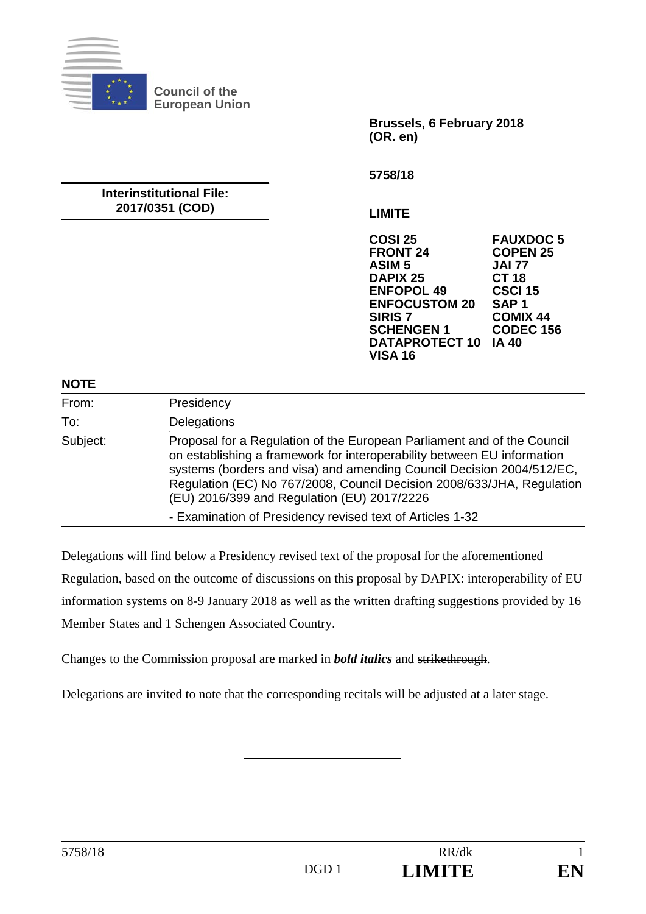

**Council of the European Union** 

> **Brussels, 6 February 2018 (OR. en)**

**5758/18** 

# **Interinstitutional File: 2017/0351 (COD)**

**LIMITE** 

**COSI 25 FAUXDOC 5 FRONT 24 COPEN 25 ASIM 5 JAI 77 DAPIX 25 CT 18 ENFOPOL 49 ENFOCUSTOM 20 SAP 1 SIRIS 7 COMIX 44 SCHENGEN 1 DATAPROTECT 10 IA 40 VISA 16** 

### **NOTE**

| .        |                                                                                                                                                                                                                                                                                                                                                      |
|----------|------------------------------------------------------------------------------------------------------------------------------------------------------------------------------------------------------------------------------------------------------------------------------------------------------------------------------------------------------|
| From:    | Presidency                                                                                                                                                                                                                                                                                                                                           |
| To:      | Delegations                                                                                                                                                                                                                                                                                                                                          |
| Subject: | Proposal for a Regulation of the European Parliament and of the Council<br>on establishing a framework for interoperability between EU information<br>systems (borders and visa) and amending Council Decision 2004/512/EC,<br>Regulation (EC) No 767/2008, Council Decision 2008/633/JHA, Regulation<br>(EU) 2016/399 and Regulation (EU) 2017/2226 |
|          | - Examination of Presidency revised text of Articles 1-32                                                                                                                                                                                                                                                                                            |

Delegations will find below a Presidency revised text of the proposal for the aforementioned Regulation, based on the outcome of discussions on this proposal by DAPIX: interoperability of EU information systems on 8-9 January 2018 as well as the written drafting suggestions provided by 16 Member States and 1 Schengen Associated Country.

Changes to the Commission proposal are marked in *bold italics* and strikethrough.

Delegations are invited to note that the corresponding recitals will be adjusted at a later stage.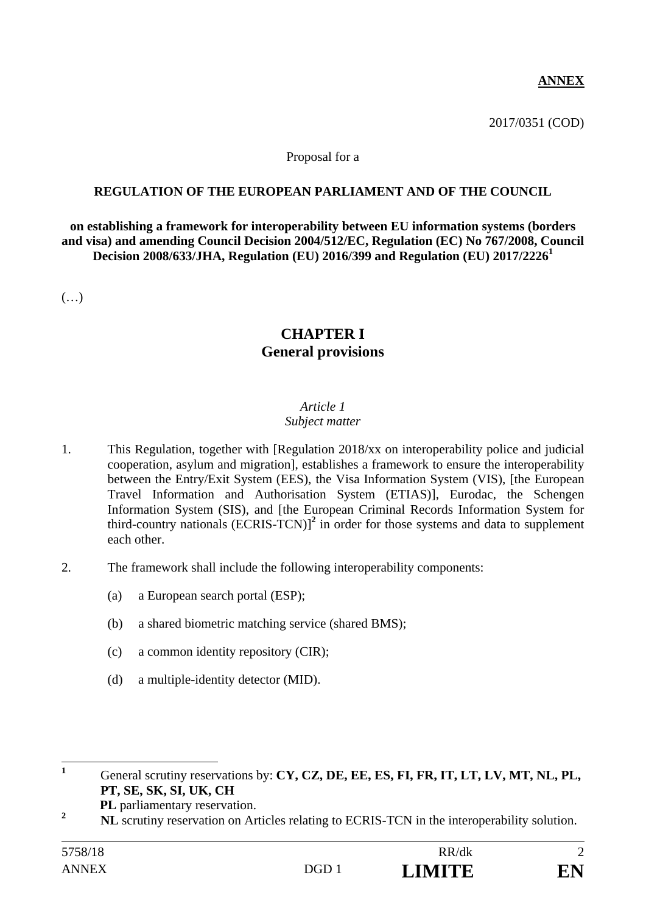# **ANNEX**

2017/0351 (COD)

#### Proposal for a

## **REGULATION OF THE EUROPEAN PARLIAMENT AND OF THE COUNCIL**

**on establishing a framework for interoperability between EU information systems (borders and visa) and amending Council Decision 2004/512/EC, Regulation (EC) No 767/2008, Council Decision 2008/633/JHA, Regulation (EU) 2016/399 and Regulation (EU) 2017/2226<sup>1</sup>**

(…)

# **CHAPTER I General provisions**

## *Article 1*

## *Subject matter*

- 1. This Regulation, together with [Regulation 2018/xx on interoperability police and judicial cooperation, asylum and migration], establishes a framework to ensure the interoperability between the Entry/Exit System (EES), the Visa Information System (VIS), [the European Travel Information and Authorisation System (ETIAS)], Eurodac, the Schengen Information System (SIS), and [the European Criminal Records Information System for third-country nationals (ECRIS-TCN)]**<sup>2</sup>** in order for those systems and data to supplement each other.
- 2. The framework shall include the following interoperability components:
	- (a) a European search portal (ESP);
	- (b) a shared biometric matching service (shared BMS);
	- (c) a common identity repository (CIR);
	- (d) a multiple-identity detector (MID).

 **1** General scrutiny reservations by: **CY, CZ, DE, EE, ES, FI, FR, IT, LT, LV, MT, NL, PL, PT, SE, SK, SI, UK, CH** 

**PL** parliamentary reservation.

**<sup>2</sup> NL** scrutiny reservation on Articles relating to ECRIS-TCN in the interoperability solution.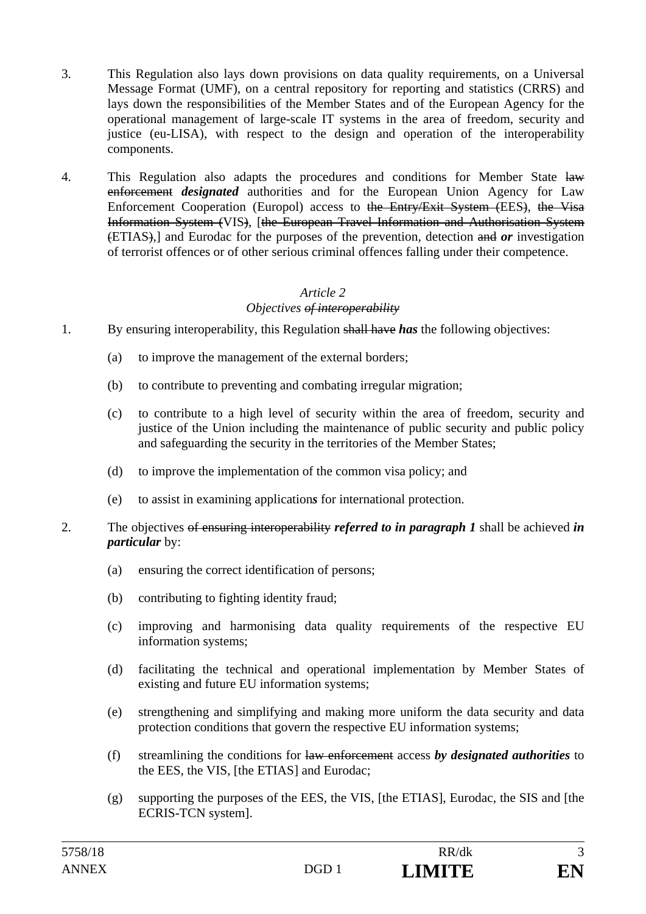- 3. This Regulation also lays down provisions on data quality requirements, on a Universal Message Format (UMF), on a central repository for reporting and statistics (CRRS) and lays down the responsibilities of the Member States and of the European Agency for the operational management of large-scale IT systems in the area of freedom, security and justice (eu-LISA), with respect to the design and operation of the interoperability components.
- 4. This Regulation also adapts the procedures and conditions for Member State law enforcement *designated* authorities and for the European Union Agency for Law Enforcement Cooperation (Europol) access to the Entry/Exit System (EES), the Visa Information System (VIS), [the European Travel Information and Authorisation System (ETIAS),] and Eurodac for the purposes of the prevention, detection and *or* investigation of terrorist offences or of other serious criminal offences falling under their competence.

# *Objectives of interoperability*

- 1. By ensuring interoperability, this Regulation shall have *has* the following objectives:
	- (a) to improve the management of the external borders;
	- (b) to contribute to preventing and combating irregular migration;
	- (c) to contribute to a high level of security within the area of freedom, security and justice of the Union including the maintenance of public security and public policy and safeguarding the security in the territories of the Member States;
	- (d) to improve the implementation of the common visa policy; and
	- (e) to assist in examining application*s* for international protection.
- 2. The objectives of ensuring interoperability *referred to in paragraph 1* shall be achieved *in particular* by:
	- (a) ensuring the correct identification of persons;
	- (b) contributing to fighting identity fraud;
	- (c) improving and harmonising data quality requirements of the respective EU information systems;
	- (d) facilitating the technical and operational implementation by Member States of existing and future EU information systems;
	- (e) strengthening and simplifying and making more uniform the data security and data protection conditions that govern the respective EU information systems;
	- (f) streamlining the conditions for law enforcement access *by designated authorities* to the EES, the VIS, [the ETIAS] and Eurodac;
	- (g) supporting the purposes of the EES, the VIS, [the ETIAS], Eurodac, the SIS and [the ECRIS-TCN system].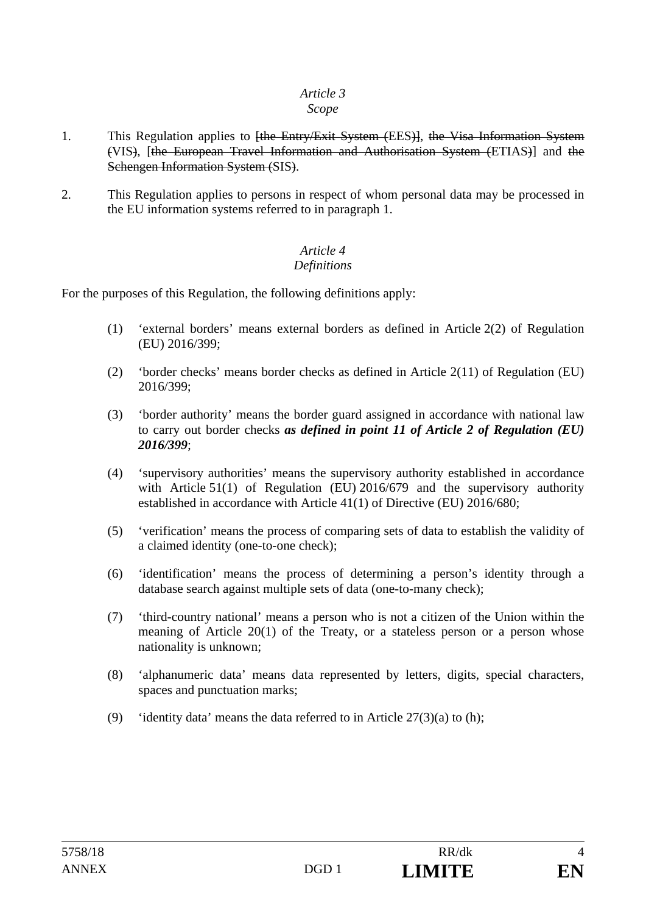## *Scope*

- 1. This Regulation applies to <del>[the Entry/Exit System (EES)]</del>, the Visa Information System (VIS), [the European Travel Information and Authorisation System (ETIAS)] and the Schengen Information System (SIS).
- 2. This Regulation applies to persons in respect of whom personal data may be processed in the EU information systems referred to in paragraph 1.

#### *Article 4 Definitions*

For the purposes of this Regulation, the following definitions apply:

- (1) 'external borders' means external borders as defined in Article 2(2) of Regulation (EU) 2016/399;
- (2) 'border checks' means border checks as defined in Article 2(11) of Regulation (EU) 2016/399;
- (3) 'border authority' means the border guard assigned in accordance with national law to carry out border checks *as defined in point 11 of Article 2 of Regulation (EU) 2016/399*;
- (4) 'supervisory authorities' means the supervisory authority established in accordance with Article 51(1) of Regulation (EU) 2016/679 and the supervisory authority established in accordance with Article 41(1) of Directive (EU) 2016/680;
- (5) 'verification' means the process of comparing sets of data to establish the validity of a claimed identity (one-to-one check);
- (6) 'identification' means the process of determining a person's identity through a database search against multiple sets of data (one-to-many check);
- (7) 'third-country national' means a person who is not a citizen of the Union within the meaning of Article 20(1) of the Treaty, or a stateless person or a person whose nationality is unknown;
- (8) 'alphanumeric data' means data represented by letters, digits, special characters, spaces and punctuation marks;
- (9) 'identity data' means the data referred to in Article  $27(3)(a)$  to (h);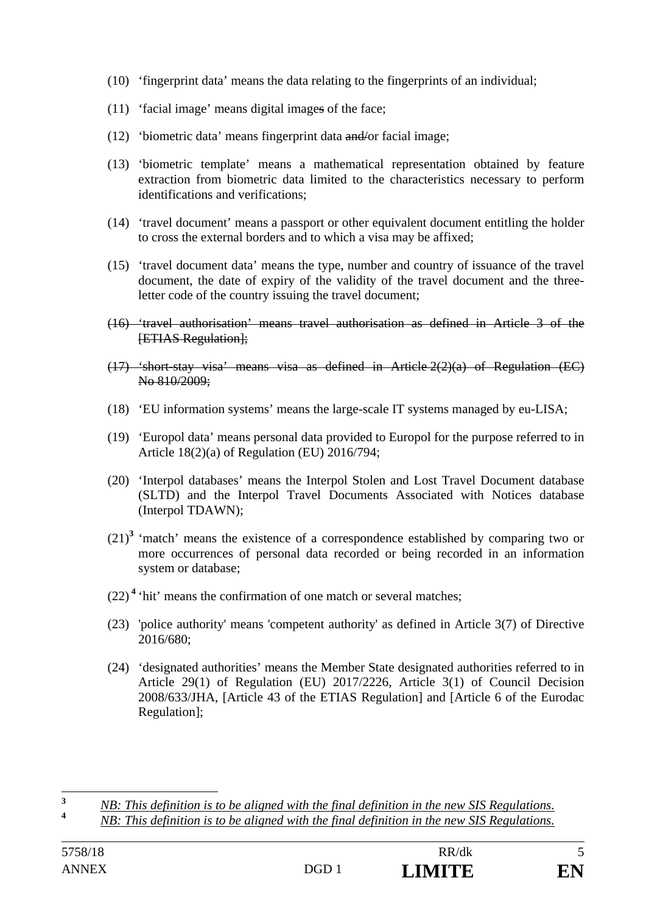- (10) 'fingerprint data' means the data relating to the fingerprints of an individual;
- (11) 'facial image' means digital images of the face;
- (12) 'biometric data' means fingerprint data and/or facial image;
- (13) 'biometric template' means a mathematical representation obtained by feature extraction from biometric data limited to the characteristics necessary to perform identifications and verifications;
- (14) 'travel document' means a passport or other equivalent document entitling the holder to cross the external borders and to which a visa may be affixed;
- (15) 'travel document data' means the type, number and country of issuance of the travel document, the date of expiry of the validity of the travel document and the threeletter code of the country issuing the travel document;
- (16) 'travel authorisation' means travel authorisation as defined in Article 3 of the [ETIAS Regulation];
- (17) 'short-stay visa' means visa as defined in Article 2(2)(a) of Regulation (EC) No 810/2009;
- (18) 'EU information systems' means the large-scale IT systems managed by eu-LISA;
- (19) 'Europol data' means personal data provided to Europol for the purpose referred to in Article 18(2)(a) of Regulation (EU) 2016/794;
- (20) 'Interpol databases' means the Interpol Stolen and Lost Travel Document database (SLTD) and the Interpol Travel Documents Associated with Notices database (Interpol TDAWN);
- $(21)^3$  'match' means the existence of a correspondence established by comparing two or more occurrences of personal data recorded or being recorded in an information system or database;
- $(22)$ <sup>4</sup> 'hit' means the confirmation of one match or several matches;
- (23) 'police authority' means 'competent authority' as defined in Article 3(7) of Directive 2016/680;
- (24) 'designated authorities' means the Member State designated authorities referred to in Article 29(1) of Regulation (EU) 2017/2226, Article 3(1) of Council Decision 2008/633/JHA, [Article 43 of the ETIAS Regulation] and [Article 6 of the Eurodac Regulation];

**<sup>4</sup>** *NB: This definition is to be aligned with the final definition in the new SIS Regulations.*

 $\overline{\mathbf{3}}$ **<sup>3</sup>** *NB: This definition is to be aligned with the final definition in the new SIS Regulations.*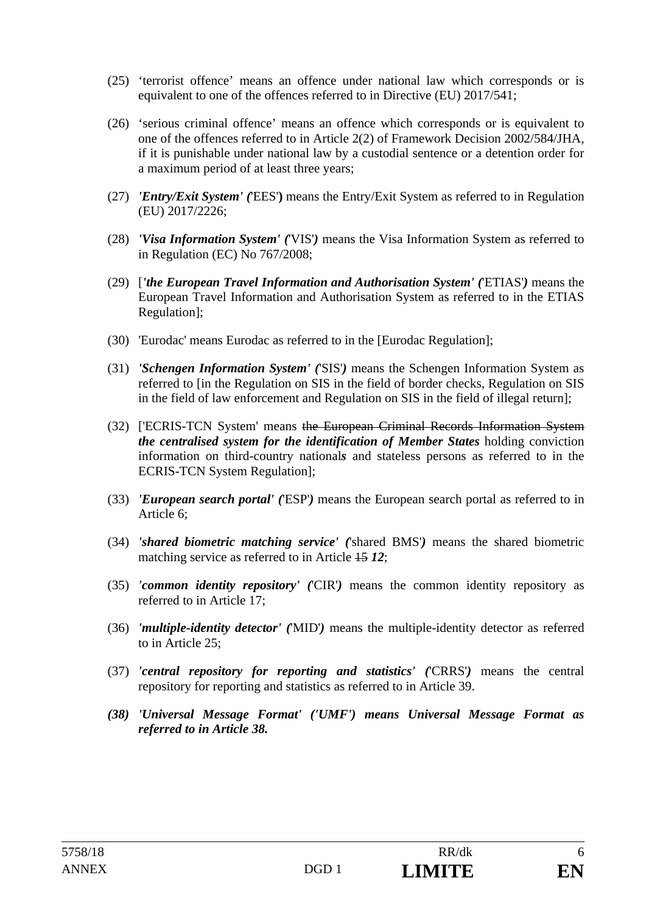- (25) 'terrorist offence' means an offence under national law which corresponds or is equivalent to one of the offences referred to in Directive (EU) 2017/541;
- (26) 'serious criminal offence' means an offence which corresponds or is equivalent to one of the offences referred to in Article 2(2) of Framework Decision 2002/584/JHA, if it is punishable under national law by a custodial sentence or a detention order for a maximum period of at least three years;
- (27) *'Entry/Exit System' (*'EES'**)** means the Entry/Exit System as referred to in Regulation (EU) 2017/2226;
- (28) *'Visa Information System' (*'VIS'*)* means the Visa Information System as referred to in Regulation (EC) No 767/2008;
- (29) [*'the European Travel Information and Authorisation System' (*'ETIAS'*)* means the European Travel Information and Authorisation System as referred to in the ETIAS Regulation];
- (30) 'Eurodac' means Eurodac as referred to in the [Eurodac Regulation];
- (31) *'Schengen Information System' (*'SIS'*)* means the Schengen Information System as referred to [in the Regulation on SIS in the field of border checks, Regulation on SIS in the field of law enforcement and Regulation on SIS in the field of illegal return];
- (32) ['ECRIS-TCN System' means the European Criminal Records Information System *the centralised system for the identification of Member States* holding conviction information on third-country national*s* and stateless persons as referred to in the ECRIS-TCN System Regulation];
- (33) *'European search portal' (*'ESP'*)* means the European search portal as referred to in Article 6;
- (34) *'shared biometric matching service' (*'shared BMS'*)* means the shared biometric matching service as referred to in Article 15 *12*;
- (35) *'common identity repository' (*'CIR'*)* means the common identity repository as referred to in Article 17;
- (36) *'multiple-identity detector' (*'MID'*)* means the multiple-identity detector as referred to in Article 25;
- (37) *'central repository for reporting and statistics' (*'CRRS'*)* means the central repository for reporting and statistics as referred to in Article 39.
- *(38) 'Universal Message Format' ('UMF') means Universal Message Format as referred to in Article 38.*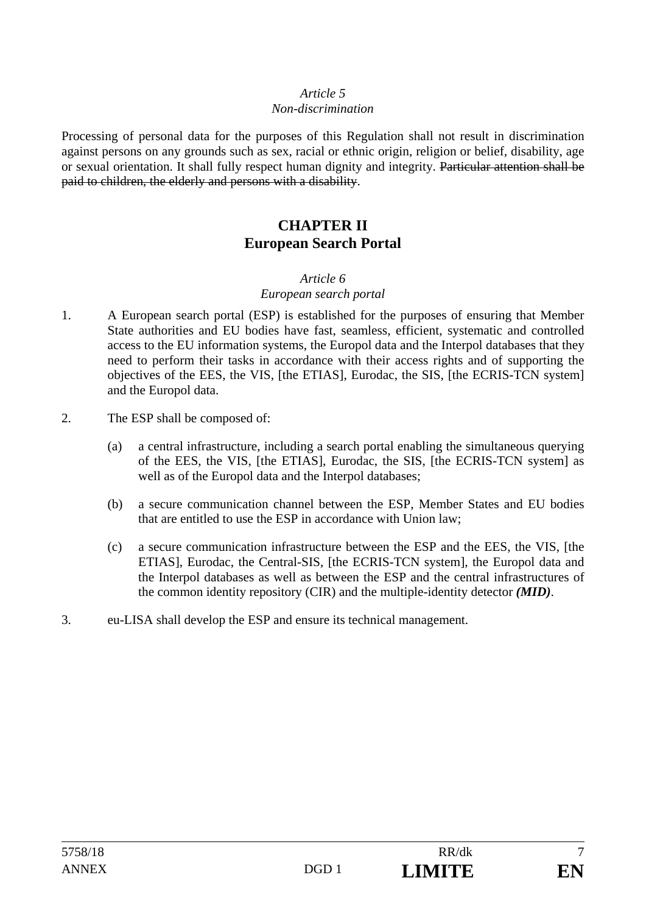#### *Non-discrimination*

Processing of personal data for the purposes of this Regulation shall not result in discrimination against persons on any grounds such as sex, racial or ethnic origin, religion or belief, disability, age or sexual orientation. It shall fully respect human dignity and integrity. Particular attention shall be paid to children, the elderly and persons with a disability.

# **CHAPTER II European Search Portal**

#### *Article 6*

# *European search portal*

- 1. A European search portal (ESP) is established for the purposes of ensuring that Member State authorities and EU bodies have fast, seamless, efficient, systematic and controlled access to the EU information systems, the Europol data and the Interpol databases that they need to perform their tasks in accordance with their access rights and of supporting the objectives of the EES, the VIS, [the ETIAS], Eurodac, the SIS, [the ECRIS-TCN system] and the Europol data.
- 2. The ESP shall be composed of:
	- (a) a central infrastructure, including a search portal enabling the simultaneous querying of the EES, the VIS, [the ETIAS], Eurodac, the SIS, [the ECRIS-TCN system] as well as of the Europol data and the Interpol databases;
	- (b) a secure communication channel between the ESP, Member States and EU bodies that are entitled to use the ESP in accordance with Union law;
	- (c) a secure communication infrastructure between the ESP and the EES, the VIS, [the ETIAS], Eurodac, the Central-SIS, [the ECRIS-TCN system], the Europol data and the Interpol databases as well as between the ESP and the central infrastructures of the common identity repository (CIR) and the multiple-identity detector *(MID)*.
- 3. eu-LISA shall develop the ESP and ensure its technical management.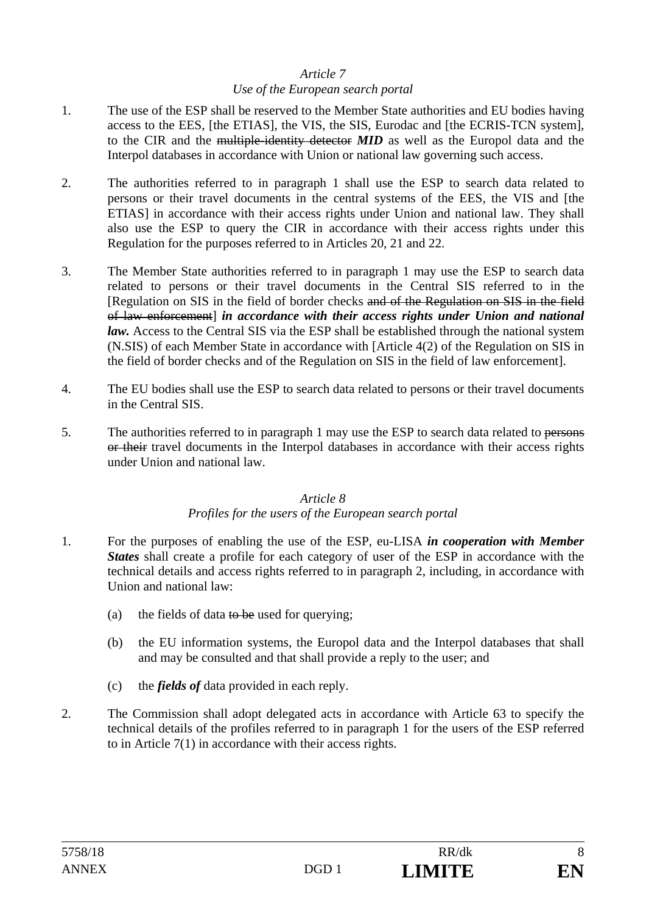#### *Use of the European search portal*

- 1. The use of the ESP shall be reserved to the Member State authorities and EU bodies having access to the EES, [the ETIAS], the VIS, the SIS, Eurodac and [the ECRIS-TCN system], to the CIR and the multiple-identity detector *MID* as well as the Europol data and the Interpol databases in accordance with Union or national law governing such access.
- 2. The authorities referred to in paragraph 1 shall use the ESP to search data related to persons or their travel documents in the central systems of the EES, the VIS and [the ETIAS] in accordance with their access rights under Union and national law. They shall also use the ESP to query the CIR in accordance with their access rights under this Regulation for the purposes referred to in Articles 20, 21 and 22.
- 3. The Member State authorities referred to in paragraph 1 may use the ESP to search data related to persons or their travel documents in the Central SIS referred to in the [Regulation on SIS in the field of border checks and of the Regulation on SIS in the field of law enforcement] *in accordance with their access rights under Union and national law.* Access to the Central SIS via the ESP shall be established through the national system (N.SIS) of each Member State in accordance with [Article 4(2) of the Regulation on SIS in the field of border checks and of the Regulation on SIS in the field of law enforcement].
- 4. The EU bodies shall use the ESP to search data related to persons or their travel documents in the Central SIS.
- 5. The authorities referred to in paragraph 1 may use the ESP to search data related to persons or their travel documents in the Interpol databases in accordance with their access rights under Union and national law.

#### *Article 8 Profiles for the users of the European search portal*

- 1. For the purposes of enabling the use of the ESP, eu-LISA *in cooperation with Member States* shall create a profile for each category of user of the ESP in accordance with the technical details and access rights referred to in paragraph 2, including, in accordance with Union and national law:
	- (a) the fields of data to be used for querying:
	- (b) the EU information systems, the Europol data and the Interpol databases that shall and may be consulted and that shall provide a reply to the user; and
	- (c) the *fields of* data provided in each reply.
- 2. The Commission shall adopt delegated acts in accordance with Article 63 to specify the technical details of the profiles referred to in paragraph 1 for the users of the ESP referred to in Article 7(1) in accordance with their access rights.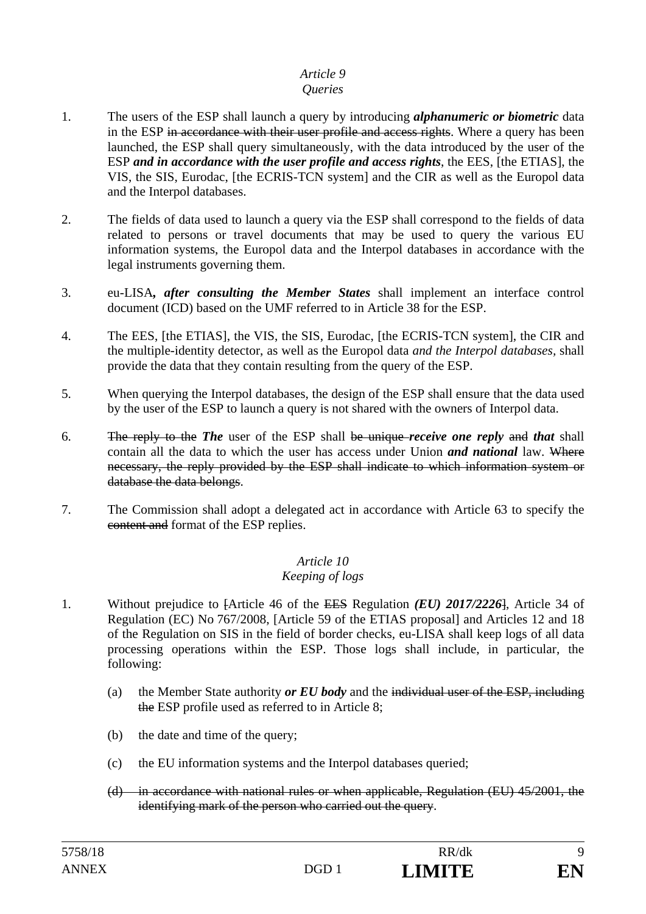# *Queries*

- 1. The users of the ESP shall launch a query by introducing *alphanumeric or biometric* data in the ESP in accordance with their user profile and access rights. Where a query has been launched, the ESP shall query simultaneously, with the data introduced by the user of the ESP *and in accordance with the user profile and access rights*, the EES, [the ETIAS], the VIS, the SIS, Eurodac, [the ECRIS-TCN system] and the CIR as well as the Europol data and the Interpol databases.
- 2. The fields of data used to launch a query via the ESP shall correspond to the fields of data related to persons or travel documents that may be used to query the various EU information systems, the Europol data and the Interpol databases in accordance with the legal instruments governing them.
- 3. eu-LISA*, after consulting the Member States* shall implement an interface control document (ICD) based on the UMF referred to in Article 38 for the ESP.
- 4. The EES, [the ETIAS], the VIS, the SIS, Eurodac, [the ECRIS-TCN system], the CIR and the multiple-identity detector, as well as the Europol data *and the Interpol databases,* shall provide the data that they contain resulting from the query of the ESP.
- 5. When querying the Interpol databases, the design of the ESP shall ensure that the data used by the user of the ESP to launch a query is not shared with the owners of Interpol data.
- 6. The reply to the *The* user of the ESP shall be unique *receive one reply* and *that* shall contain all the data to which the user has access under Union *and national* law. Where necessary, the reply provided by the ESP shall indicate to which information system or database the data belongs.
- 7. The Commission shall adopt a delegated act in accordance with Article 63 to specify the content and format of the ESP replies.

# *Article 10*

# *Keeping of logs*

- 1. Without prejudice to [Article 46 of the EES Regulation *(EU) 2017/2226*], Article 34 of Regulation (EC) No 767/2008, [Article 59 of the ETIAS proposal] and Articles 12 and 18 of the Regulation on SIS in the field of border checks, eu-LISA shall keep logs of all data processing operations within the ESP. Those logs shall include, in particular, the following:
	- (a) the Member State authority *or EU body* and the individual user of the ESP, including the ESP profile used as referred to in Article 8;
	- (b) the date and time of the query;
	- (c) the EU information systems and the Interpol databases queried;
	- (d) in accordance with national rules or when applicable, Regulation (EU) 45/2001, the identifying mark of the person who carried out the query.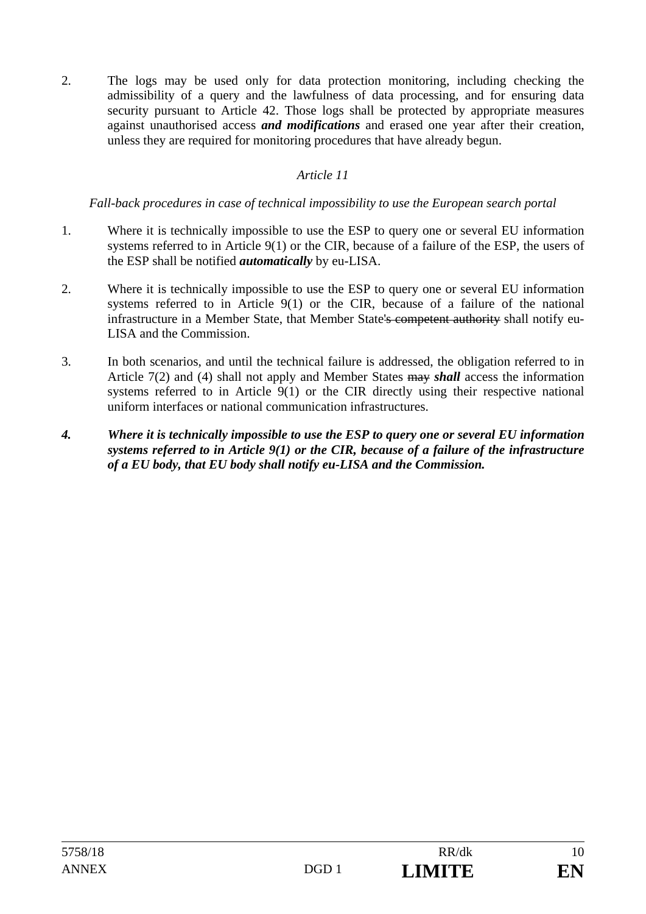2. The logs may be used only for data protection monitoring, including checking the admissibility of a query and the lawfulness of data processing, and for ensuring data security pursuant to Article 42. Those logs shall be protected by appropriate measures against unauthorised access *and modifications* and erased one year after their creation, unless they are required for monitoring procedures that have already begun.

# *Article 11*

## *Fall-back procedures in case of technical impossibility to use the European search portal*

- 1. Where it is technically impossible to use the ESP to query one or several EU information systems referred to in Article 9(1) or the CIR, because of a failure of the ESP, the users of the ESP shall be notified *automatically* by eu-LISA.
- 2. Where it is technically impossible to use the ESP to query one or several EU information systems referred to in Article 9(1) or the CIR, because of a failure of the national infrastructure in a Member State, that Member State's competent authority shall notify eu-LISA and the Commission.
- 3. In both scenarios, and until the technical failure is addressed, the obligation referred to in Article 7(2) and (4) shall not apply and Member States may *shall* access the information systems referred to in Article 9(1) or the CIR directly using their respective national uniform interfaces or national communication infrastructures.
- *4. Where it is technically impossible to use the ESP to query one or several EU information systems referred to in Article 9(1) or the CIR, because of a failure of the infrastructure of a EU body, that EU body shall notify eu-LISA and the Commission.*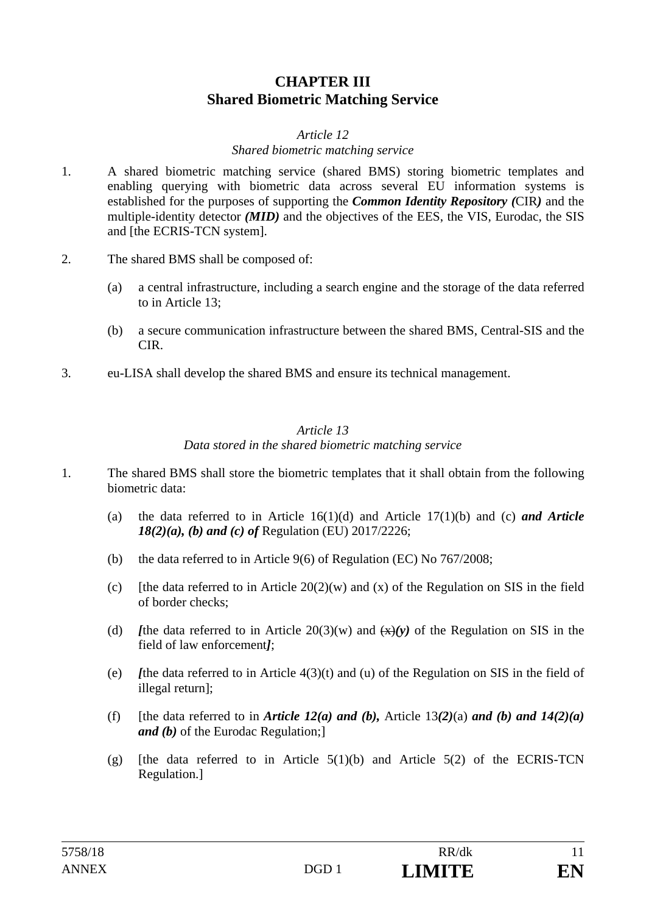# **CHAPTER III Shared Biometric Matching Service**

### *Article 12*

## *Shared biometric matching service*

- 1. A shared biometric matching service (shared BMS) storing biometric templates and enabling querying with biometric data across several EU information systems is established for the purposes of supporting the *Common Identity Repository (*CIR*)* and the multiple-identity detector *(MID)* and the objectives of the EES, the VIS, Eurodac, the SIS and [the ECRIS-TCN system].
- 2. The shared BMS shall be composed of:
	- (a) a central infrastructure, including a search engine and the storage of the data referred to in Article 13;
	- (b) a secure communication infrastructure between the shared BMS, Central-SIS and the CIR.
- 3. eu-LISA shall develop the shared BMS and ensure its technical management.

#### *Article 13 Data stored in the shared biometric matching service*

- 1. The shared BMS shall store the biometric templates that it shall obtain from the following biometric data:
	- (a) the data referred to in Article 16(1)(d) and Article 17(1)(b) and (c) *and Article 18(2)(a), (b) and (c) of* Regulation (EU) 2017/2226;
	- (b) the data referred to in Article 9(6) of Regulation (EC) No 767/2008;
	- (c) [the data referred to in Article  $20(2)(w)$  and (x) of the Regulation on SIS in the field of border checks;
	- (d) *[the data referred to in Article*  $20(3)(w)$  *and*  $\left(\frac{x}{y}\right)y$  *of the Regulation on SIS in the* field of law enforcement*]*;
	- (e) *I*the data referred to in Article  $4(3)(t)$  and (u) of the Regulation on SIS in the field of illegal return];
	- (f) [the data referred to in *Article 12(a)* and (b), Article 13(2)(a) and (b) and  $14(2)(a)$ *and (b)* of the Eurodac Regulation;]
	- (g) [the data referred to in Article  $5(1)(b)$  and Article  $5(2)$  of the ECRIS-TCN Regulation.]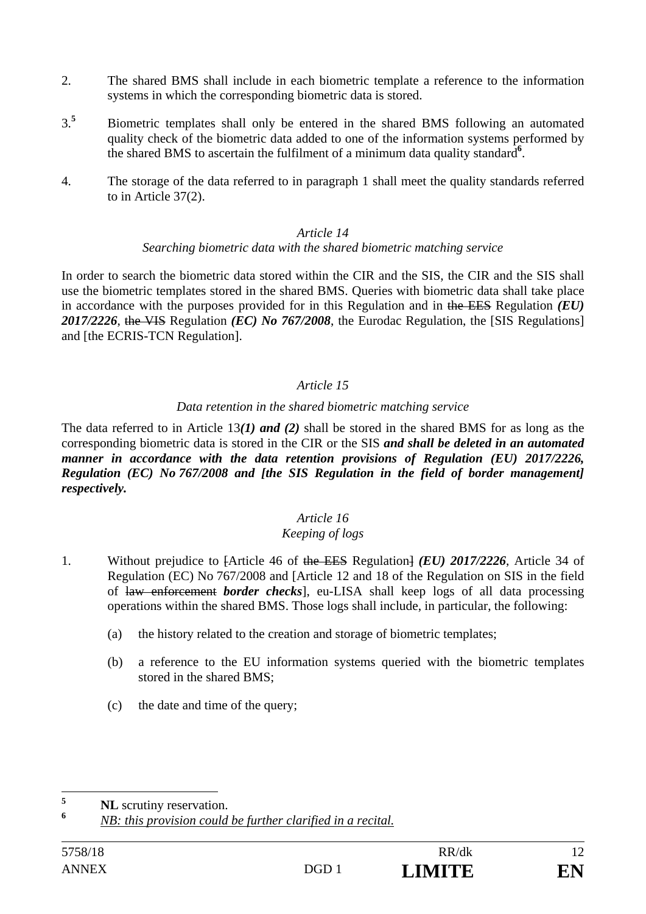- 2. The shared BMS shall include in each biometric template a reference to the information systems in which the corresponding biometric data is stored.
- 3.**5** Biometric templates shall only be entered in the shared BMS following an automated quality check of the biometric data added to one of the information systems performed by the shared BMS to ascertain the fulfilment of a minimum data quality standard**<sup>6</sup>** .
- 4. The storage of the data referred to in paragraph 1 shall meet the quality standards referred to in Article 37(2).

## *Searching biometric data with the shared biometric matching service*

In order to search the biometric data stored within the CIR and the SIS, the CIR and the SIS shall use the biometric templates stored in the shared BMS. Queries with biometric data shall take place in accordance with the purposes provided for in this Regulation and in the EES Regulation *(EU) 2017/2226*, the VIS Regulation *(EC) No 767/2008*, the Eurodac Regulation, the [SIS Regulations] and [the ECRIS-TCN Regulation].

# *Article 15*

## *Data retention in the shared biometric matching service*

The data referred to in Article 13*(1) and (2)* shall be stored in the shared BMS for as long as the corresponding biometric data is stored in the CIR or the SIS *and shall be deleted in an automated manner in accordance with the data retention provisions of Regulation (EU) 2017/2226, Regulation (EC) No 767/2008 and [the SIS Regulation in the field of border management] respectively.*

# *Article 16*

# *Keeping of logs*

- 1. Without prejudice to [Article 46 of the EES Regulation] *(EU) 2017/2226*, Article 34 of Regulation (EC) No 767/2008 and [Article 12 and 18 of the Regulation on SIS in the field of law enforcement *border checks*], eu-LISA shall keep logs of all data processing operations within the shared BMS. Those logs shall include, in particular, the following:
	- (a) the history related to the creation and storage of biometric templates;
	- (b) a reference to the EU information systems queried with the biometric templates stored in the shared BMS;
	- (c) the date and time of the query;

 $\leq$ <sup>5</sup> **NL** scrutiny reservation.

**<sup>6</sup>** *NB: this provision could be further clarified in a recital.*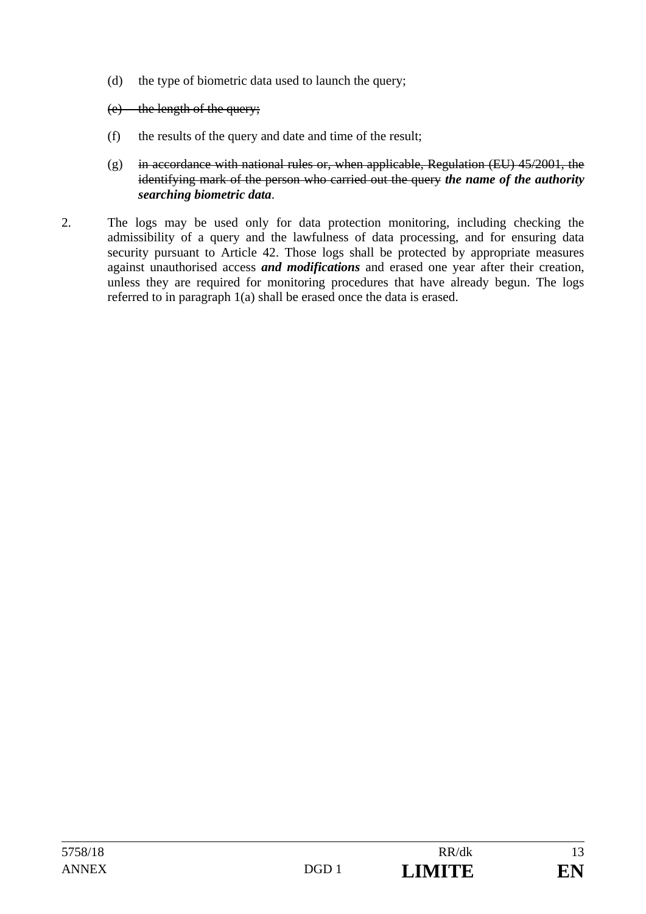(d) the type of biometric data used to launch the query;

# (e) the length of the query;

- (f) the results of the query and date and time of the result;
- (g) in accordance with national rules or, when applicable, Regulation (EU)  $45/2001$ , the identifying mark of the person who carried out the query *the name of the authority searching biometric data*.
- 2. The logs may be used only for data protection monitoring, including checking the admissibility of a query and the lawfulness of data processing, and for ensuring data security pursuant to Article 42. Those logs shall be protected by appropriate measures against unauthorised access *and modifications* and erased one year after their creation, unless they are required for monitoring procedures that have already begun. The logs referred to in paragraph 1(a) shall be erased once the data is erased.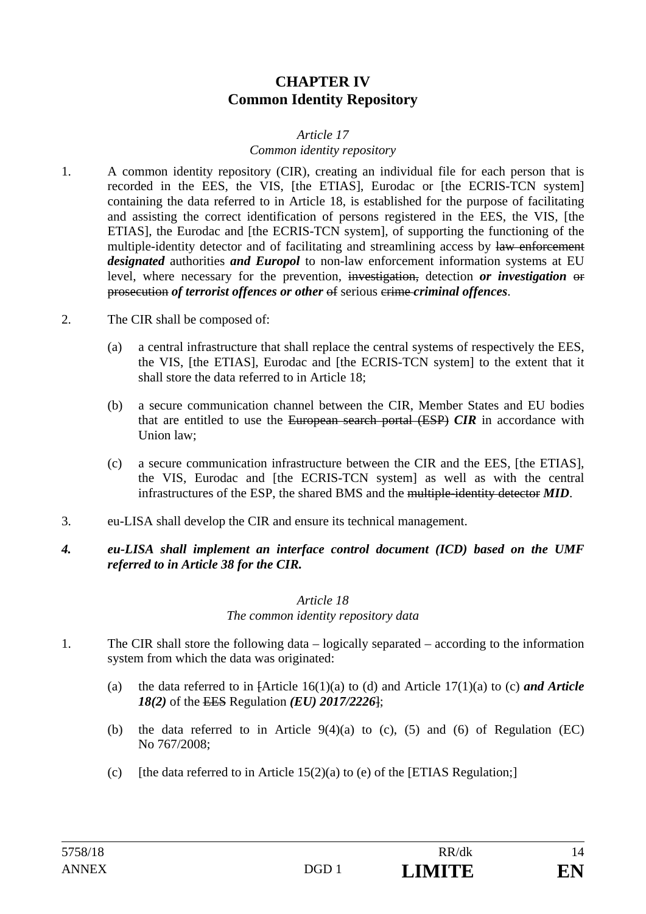# **CHAPTER IV Common Identity Repository**

## *Article 17 Common identity repository*

- 1. A common identity repository (CIR), creating an individual file for each person that is recorded in the EES, the VIS, [the ETIAS], Eurodac or [the ECRIS-TCN system] containing the data referred to in Article 18, is established for the purpose of facilitating and assisting the correct identification of persons registered in the EES, the VIS, [the ETIAS], the Eurodac and [the ECRIS-TCN system], of supporting the functioning of the multiple-identity detector and of facilitating and streamlining access by law enforcement *designated* authorities *and Europol* to non-law enforcement information systems at EU level, where necessary for the prevention, investigation, detection *or investigation* or prosecution *of terrorist offences or other* of serious crime *criminal offences*.
- 2. The CIR shall be composed of:
	- (a) a central infrastructure that shall replace the central systems of respectively the EES, the VIS, [the ETIAS], Eurodac and [the ECRIS-TCN system] to the extent that it shall store the data referred to in Article 18;
	- (b) a secure communication channel between the CIR, Member States and EU bodies that are entitled to use the European search portal (ESP) *CIR* in accordance with Union law;
	- (c) a secure communication infrastructure between the CIR and the EES, [the ETIAS], the VIS, Eurodac and [the ECRIS-TCN system] as well as with the central infrastructures of the ESP, the shared BMS and the multiple-identity detector *MID*.
- 3. eu-LISA shall develop the CIR and ensure its technical management.
- *4. eu-LISA shall implement an interface control document (ICD) based on the UMF referred to in Article 38 for the CIR.*

# *Article 18*

*The common identity repository data* 

- 1. The CIR shall store the following data logically separated according to the information system from which the data was originated:
	- (a) the data referred to in  $[Article 16(1)(a)$  to (d) and Article  $17(1)(a)$  to (c) *and Article 18(2)* of the EES Regulation *(EU) 2017/2226*];
	- (b) the data referred to in Article  $9(4)(a)$  to (c), (5) and (6) of Regulation (EC) No 767/2008;
	- (c) [the data referred to in Article  $15(2)(a)$  to (e) of the [ETIAS Regulation;]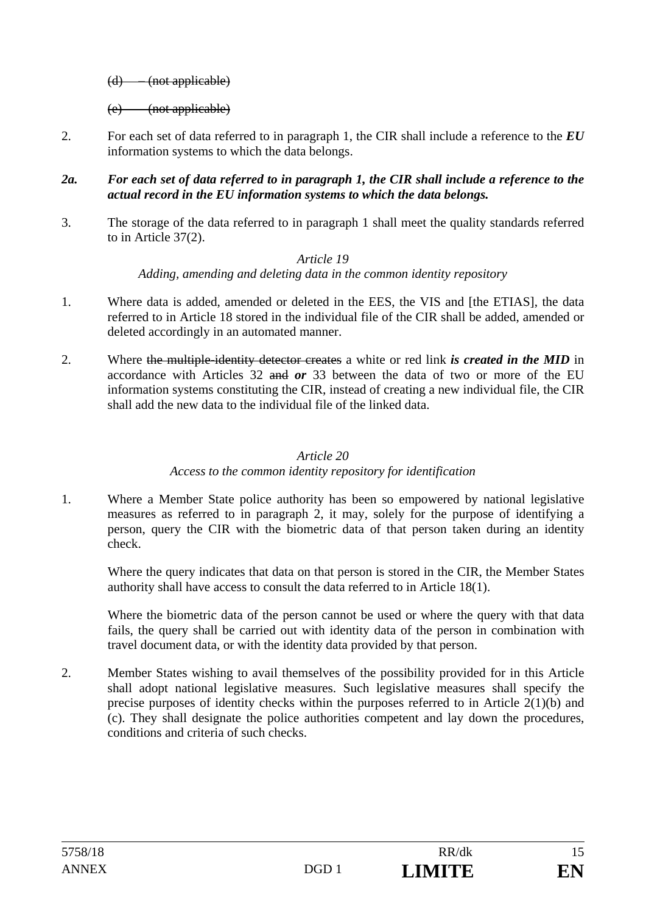(d) – (not applicable)

(e) – (not applicable)

2. For each set of data referred to in paragraph 1, the CIR shall include a reference to the *EU* information systems to which the data belongs.

#### *2a. For each set of data referred to in paragraph 1, the CIR shall include a reference to the actual record in the EU information systems to which the data belongs.*

3. The storage of the data referred to in paragraph 1 shall meet the quality standards referred to in Article 37(2).

# *Article 19*

## *Adding, amending and deleting data in the common identity repository*

- 1. Where data is added, amended or deleted in the EES, the VIS and [the ETIAS], the data referred to in Article 18 stored in the individual file of the CIR shall be added, amended or deleted accordingly in an automated manner.
- 2. Where the multiple-identity detector creates a white or red link *is created in the MID* in accordance with Articles 32 and *or* 33 between the data of two or more of the EU information systems constituting the CIR, instead of creating a new individual file, the CIR shall add the new data to the individual file of the linked data.

# *Article 20*

# *Access to the common identity repository for identification*

1. Where a Member State police authority has been so empowered by national legislative measures as referred to in paragraph 2, it may, solely for the purpose of identifying a person, query the CIR with the biometric data of that person taken during an identity check.

Where the query indicates that data on that person is stored in the CIR, the Member States authority shall have access to consult the data referred to in Article 18(1).

Where the biometric data of the person cannot be used or where the query with that data fails, the query shall be carried out with identity data of the person in combination with travel document data, or with the identity data provided by that person.

2. Member States wishing to avail themselves of the possibility provided for in this Article shall adopt national legislative measures. Such legislative measures shall specify the precise purposes of identity checks within the purposes referred to in Article 2(1)(b) and (c). They shall designate the police authorities competent and lay down the procedures, conditions and criteria of such checks.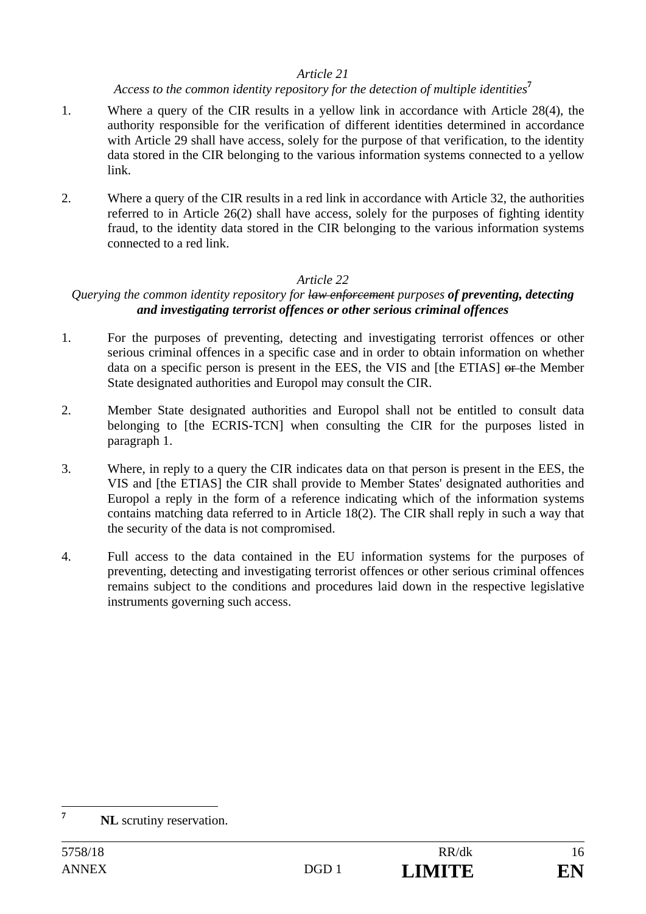# *Access to the common identity repository for the detection of multiple identities***<sup>7</sup>**

- 1. Where a query of the CIR results in a yellow link in accordance with Article 28(4), the authority responsible for the verification of different identities determined in accordance with Article 29 shall have access, solely for the purpose of that verification, to the identity data stored in the CIR belonging to the various information systems connected to a yellow link.
- 2. Where a query of the CIR results in a red link in accordance with Article 32, the authorities referred to in Article 26(2) shall have access, solely for the purposes of fighting identity fraud, to the identity data stored in the CIR belonging to the various information systems connected to a red link.

# *Article 22*

# *Querying the common identity repository for law enforcement purposes of preventing, detecting and investigating terrorist offences or other serious criminal offences*

- 1. For the purposes of preventing, detecting and investigating terrorist offences or other serious criminal offences in a specific case and in order to obtain information on whether data on a specific person is present in the EES, the VIS and [the ETIAS] or the Member State designated authorities and Europol may consult the CIR.
- 2. Member State designated authorities and Europol shall not be entitled to consult data belonging to [the ECRIS-TCN] when consulting the CIR for the purposes listed in paragraph 1.
- 3. Where, in reply to a query the CIR indicates data on that person is present in the EES, the VIS and [the ETIAS] the CIR shall provide to Member States' designated authorities and Europol a reply in the form of a reference indicating which of the information systems contains matching data referred to in Article 18(2). The CIR shall reply in such a way that the security of the data is not compromised.
- 4. Full access to the data contained in the EU information systems for the purposes of preventing, detecting and investigating terrorist offences or other serious criminal offences remains subject to the conditions and procedures laid down in the respective legislative instruments governing such access.

 **7 NL** scrutiny reservation.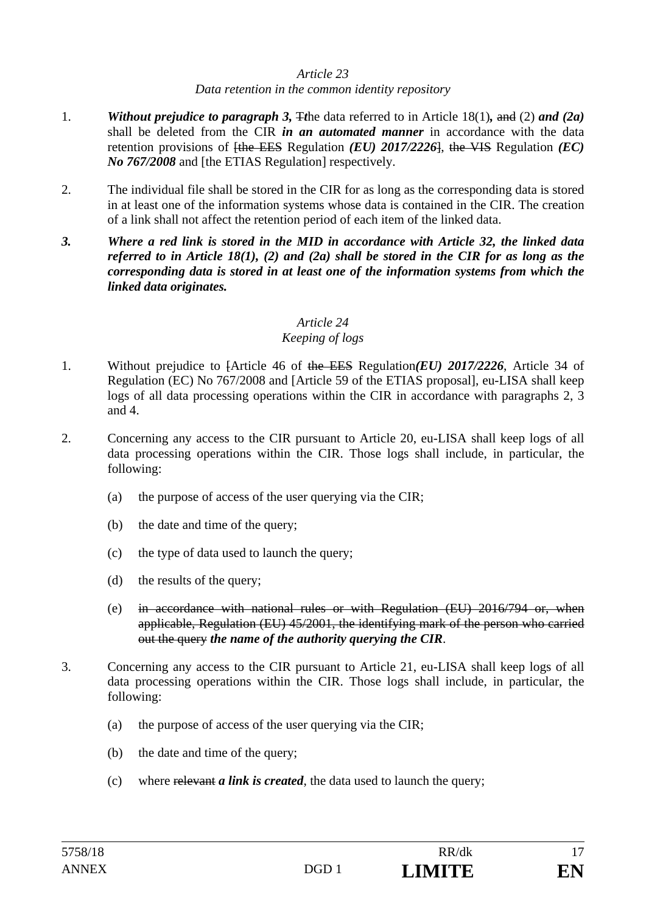## *Data retention in the common identity repository*

- 1. **Without prejudice to paragraph 3, T**the data referred to in Article 18(1), and (2) and (2a) shall be deleted from the CIR *in an automated manner* in accordance with the data retention provisions of <del>[the EES</del> Regulation *(EU)* 2017/2226<sup>1</sup>, the VIS Regulation *(EC) No 767/2008* and [the ETIAS Regulation] respectively.
- 2. The individual file shall be stored in the CIR for as long as the corresponding data is stored in at least one of the information systems whose data is contained in the CIR. The creation of a link shall not affect the retention period of each item of the linked data.
- *3. Where a red link is stored in the MID in accordance with Article 32, the linked data referred to in Article 18(1), (2) and (2a) shall be stored in the CIR for as long as the corresponding data is stored in at least one of the information systems from which the linked data originates.*

# *Article 24*

# *Keeping of logs*

- 1. Without prejudice to [Article 46 of the EES Regulation*(EU) 2017/2226*, Article 34 of Regulation (EC) No 767/2008 and [Article 59 of the ETIAS proposal], eu-LISA shall keep logs of all data processing operations within the CIR in accordance with paragraphs 2, 3 and 4.
- 2. Concerning any access to the CIR pursuant to Article 20, eu-LISA shall keep logs of all data processing operations within the CIR. Those logs shall include, in particular, the following:
	- (a) the purpose of access of the user querying via the CIR;
	- (b) the date and time of the query;
	- (c) the type of data used to launch the query;
	- (d) the results of the query;
	- (e) in accordance with national rules or with Regulation (EU) 2016/794 or, when applicable, Regulation (EU) 45/2001, the identifying mark of the person who carried out the query *the name of the authority querying the CIR*.
- 3. Concerning any access to the CIR pursuant to Article 21, eu-LISA shall keep logs of all data processing operations within the CIR. Those logs shall include, in particular, the following:
	- (a) the purpose of access of the user querying via the CIR;
	- (b) the date and time of the query;
	- (c) where relevant *a link is created*, the data used to launch the query;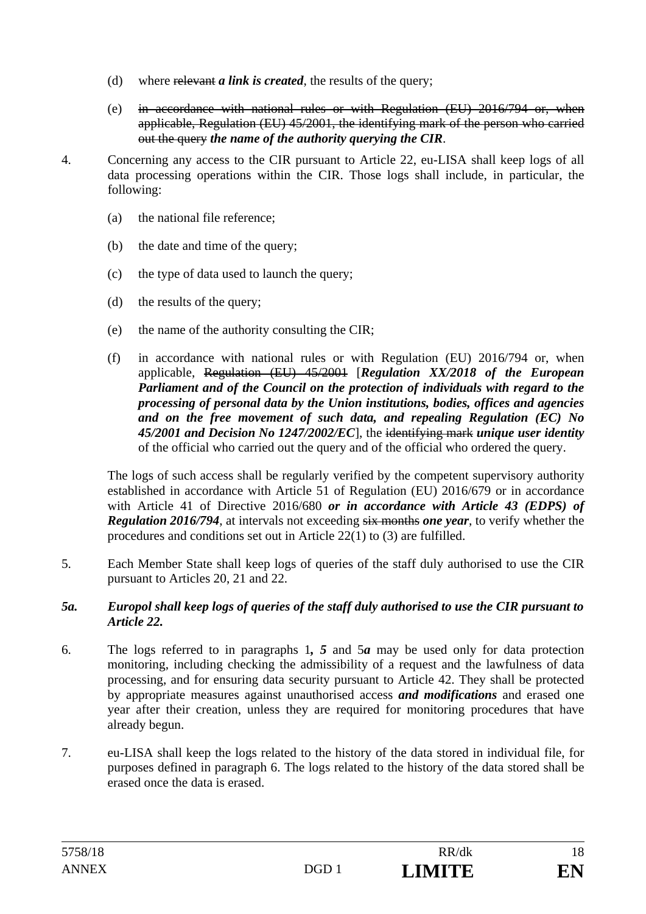- (d) where relevant *a link is created*, the results of the query;
- (e) in accordance with national rules or with Regulation (EU) 2016/794 or, when applicable, Regulation (EU) 45/2001, the identifying mark of the person who carried out the query *the name of the authority querying the CIR*.
- 4. Concerning any access to the CIR pursuant to Article 22, eu-LISA shall keep logs of all data processing operations within the CIR. Those logs shall include, in particular, the following:
	- (a) the national file reference;
	- (b) the date and time of the query;
	- (c) the type of data used to launch the query;
	- (d) the results of the query;
	- (e) the name of the authority consulting the CIR;
	- (f) in accordance with national rules or with Regulation (EU) 2016/794 or, when applicable, Regulation (EU) 45/2001 [*Regulation XX/2018 of the European Parliament and of the Council on the protection of individuals with regard to the processing of personal data by the Union institutions, bodies, offices and agencies and on the free movement of such data, and repealing Regulation (EC) No 45/2001 and Decision No 1247/2002/EC*], the identifying mark *unique user identity*  of the official who carried out the query and of the official who ordered the query.

The logs of such access shall be regularly verified by the competent supervisory authority established in accordance with Article 51 of Regulation (EU) 2016/679 or in accordance with Article 41 of Directive 2016/680 *or in accordance with Article 43 (EDPS) of Regulation 2016/794*, at intervals not exceeding six months *one year*, to verify whether the procedures and conditions set out in Article 22(1) to (3) are fulfilled.

5. Each Member State shall keep logs of queries of the staff duly authorised to use the CIR pursuant to Articles 20, 21 and 22.

## *5a. Europol shall keep logs of queries of the staff duly authorised to use the CIR pursuant to Article 22.*

- 6. The logs referred to in paragraphs 1*, 5* and 5*a* may be used only for data protection monitoring, including checking the admissibility of a request and the lawfulness of data processing, and for ensuring data security pursuant to Article 42. They shall be protected by appropriate measures against unauthorised access *and modifications* and erased one year after their creation, unless they are required for monitoring procedures that have already begun.
- 7. eu-LISA shall keep the logs related to the history of the data stored in individual file, for purposes defined in paragraph 6. The logs related to the history of the data stored shall be erased once the data is erased.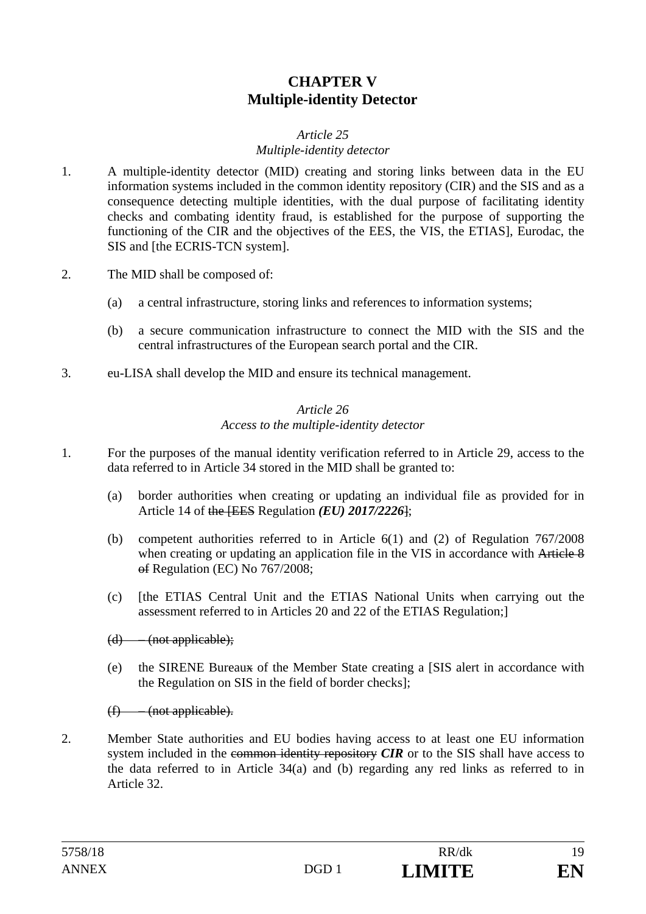# **CHAPTER V Multiple-identity Detector**

# *Article 25*

## *Multiple-identity detector*

- 1. A multiple-identity detector (MID) creating and storing links between data in the EU information systems included in the common identity repository (CIR) and the SIS and as a consequence detecting multiple identities, with the dual purpose of facilitating identity checks and combating identity fraud, is established for the purpose of supporting the functioning of the CIR and the objectives of the EES, the VIS, the ETIAS], Eurodac, the SIS and [the ECRIS-TCN system].
- 2. The MID shall be composed of:
	- (a) a central infrastructure, storing links and references to information systems;
	- (b) a secure communication infrastructure to connect the MID with the SIS and the central infrastructures of the European search portal and the CIR.
- 3. eu-LISA shall develop the MID and ensure its technical management.

## *Article 26 Access to the multiple-identity detector*

- 1. For the purposes of the manual identity verification referred to in Article 29, access to the data referred to in Article 34 stored in the MID shall be granted to:
	- (a) border authorities when creating or updating an individual file as provided for in Article 14 of the [EES Regulation *(EU) 2017/2226*];
	- (b) competent authorities referred to in Article 6(1) and (2) of Regulation 767/2008 when creating or updating an application file in the VIS in accordance with Article 8 of Regulation (EC) No 767/2008;
	- (c) [the ETIAS Central Unit and the ETIAS National Units when carrying out the assessment referred to in Articles 20 and 22 of the ETIAS Regulation;]

#### $(d)$  – (not applicable):

(e) the SIRENE Bureaux of the Member State creating a [SIS alert in accordance with the Regulation on SIS in the field of border checks];

 $(f)$  – (not applicable).

2. Member State authorities and EU bodies having access to at least one EU information system included in the common identity repository *CIR* or to the SIS shall have access to the data referred to in Article 34(a) and (b) regarding any red links as referred to in Article 32.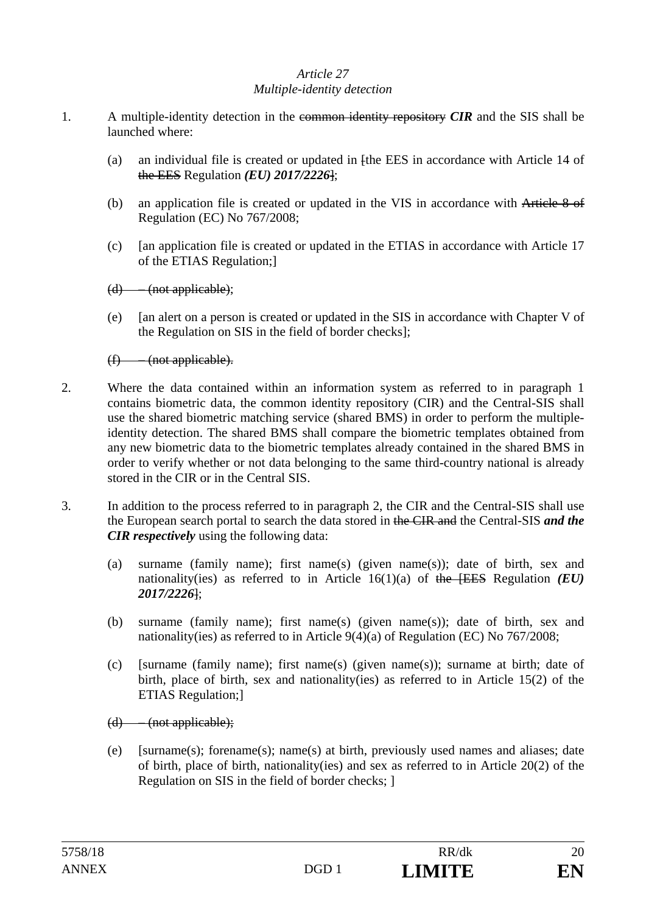#### *Article 27 Multiple-identity detection*

- 1. A multiple-identity detection in the common identity repository *CIR* and the SIS shall be launched where:
	- (a) an individual file is created or updated in [the EES in accordance with Article 14 of the EES Regulation *(EU) 2017/2226*];
	- (b) an application file is created or updated in the VIS in accordance with Article 8 of Regulation (EC) No 767/2008;
	- (c) [an application file is created or updated in the ETIAS in accordance with Article 17 of the ETIAS Regulation;]
	- (d) (not applicable);
	- (e) [an alert on a person is created or updated in the SIS in accordance with Chapter V of the Regulation on SIS in the field of border checks];

(f) – (not applicable).

- 2. Where the data contained within an information system as referred to in paragraph 1 contains biometric data, the common identity repository (CIR) and the Central-SIS shall use the shared biometric matching service (shared BMS) in order to perform the multipleidentity detection. The shared BMS shall compare the biometric templates obtained from any new biometric data to the biometric templates already contained in the shared BMS in order to verify whether or not data belonging to the same third-country national is already stored in the CIR or in the Central SIS.
- 3. In addition to the process referred to in paragraph 2, the CIR and the Central-SIS shall use the European search portal to search the data stored in the CIR and the Central-SIS *and the CIR respectively* using the following data:
	- (a) surname (family name); first name(s) (given name(s)); date of birth, sex and nationality(ies) as referred to in Article 16(1)(a) of the [EES Regulation *(EU) 2017/2226*];
	- (b) surname (family name); first name(s) (given name(s)); date of birth, sex and nationality(ies) as referred to in Article 9(4)(a) of Regulation (EC) No 767/2008;
	- (c) [surname (family name); first name(s) (given name(s)); surname at birth; date of birth, place of birth, sex and nationality(ies) as referred to in Article 15(2) of the ETIAS Regulation;]
	- (d) (not applicable);
	- (e) [surname(s); forename(s); name(s) at birth, previously used names and aliases; date of birth, place of birth, nationality(ies) and sex as referred to in Article 20(2) of the Regulation on SIS in the field of border checks; ]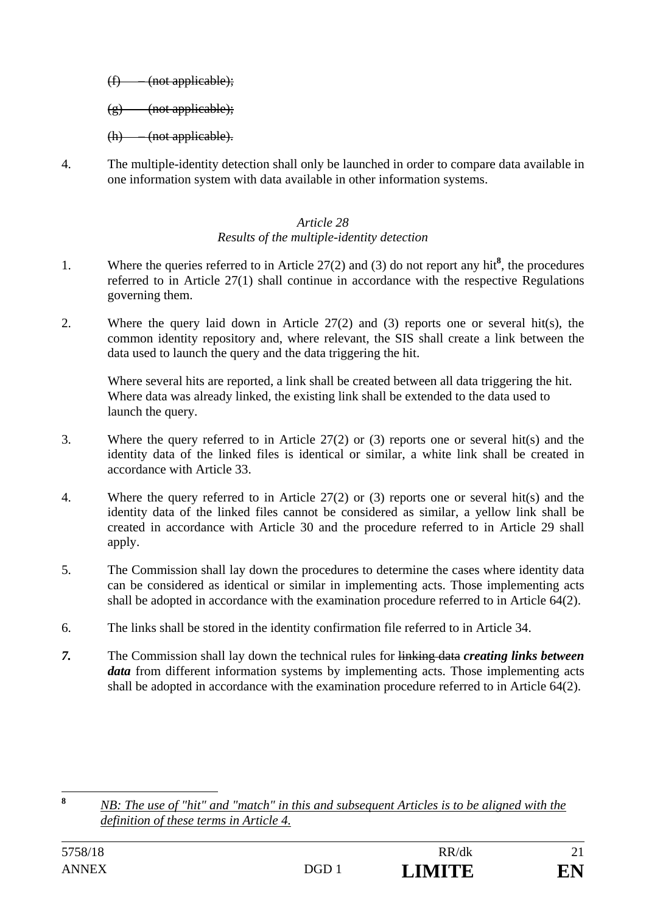(f) – (not applicable);

 $(g)$  (not applicable);

 $(h)$  – (not applicable).

4. The multiple-identity detection shall only be launched in order to compare data available in one information system with data available in other information systems.

## *Article 28 Results of the multiple-identity detection*

- 1. Where the queries referred to in Article 27(2) and (3) do not report any hit<sup>8</sup>, the procedures referred to in Article 27(1) shall continue in accordance with the respective Regulations governing them.
- 2. Where the query laid down in Article 27(2) and (3) reports one or several hit(s), the common identity repository and, where relevant, the SIS shall create a link between the data used to launch the query and the data triggering the hit.

Where several hits are reported, a link shall be created between all data triggering the hit. Where data was already linked, the existing link shall be extended to the data used to launch the query.

- 3. Where the query referred to in Article 27(2) or (3) reports one or several hit(s) and the identity data of the linked files is identical or similar, a white link shall be created in accordance with Article 33.
- 4. Where the query referred to in Article 27(2) or (3) reports one or several hit(s) and the identity data of the linked files cannot be considered as similar, a yellow link shall be created in accordance with Article 30 and the procedure referred to in Article 29 shall apply.
- 5. The Commission shall lay down the procedures to determine the cases where identity data can be considered as identical or similar in implementing acts. Those implementing acts shall be adopted in accordance with the examination procedure referred to in Article 64(2).
- 6. The links shall be stored in the identity confirmation file referred to in Article 34.
- *7.* The Commission shall lay down the technical rules for linking data *creating links between data* from different information systems by implementing acts. Those implementing acts shall be adopted in accordance with the examination procedure referred to in Article 64(2).

 $\bf{8}$ **<sup>8</sup>** *NB: The use of "hit" and "match" in this and subsequent Articles is to be aligned with the definition of these terms in Article 4.*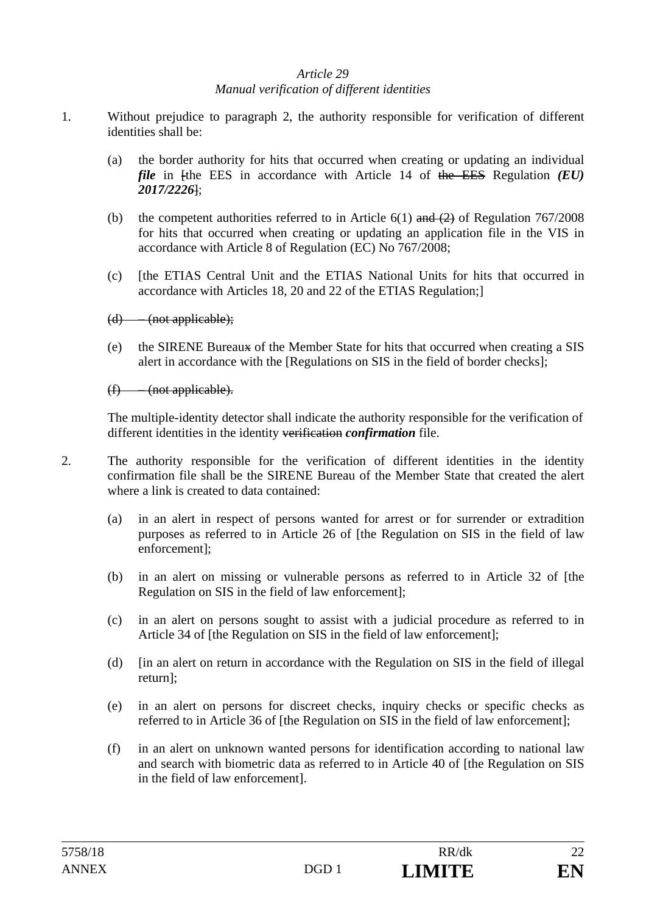### *Article 29 Manual verification of different identities*

- 1. Without prejudice to paragraph 2, the authority responsible for verification of different identities shall be:
	- (a) the border authority for hits that occurred when creating or updating an individual *file* in [the EES in accordance with Article 14 of the EES Regulation *(EU) 2017/2226*];
	- (b) the competent authorities referred to in Article  $6(1)$  and  $(2)$  of Regulation 767/2008 for hits that occurred when creating or updating an application file in the VIS in accordance with Article 8 of Regulation (EC) No 767/2008;
	- (c) [the ETIAS Central Unit and the ETIAS National Units for hits that occurred in accordance with Articles 18, 20 and 22 of the ETIAS Regulation;]
	- $(d)$  (not applicable);
	- (e) the SIRENE Bureaux of the Member State for hits that occurred when creating a SIS alert in accordance with the [Regulations on SIS in the field of border checks];

(f) – (not applicable).

The multiple-identity detector shall indicate the authority responsible for the verification of different identities in the identity verification *confirmation* file.

- 2. The authority responsible for the verification of different identities in the identity confirmation file shall be the SIRENE Bureau of the Member State that created the alert where a link is created to data contained:
	- (a) in an alert in respect of persons wanted for arrest or for surrender or extradition purposes as referred to in Article 26 of [the Regulation on SIS in the field of law enforcement];
	- (b) in an alert on missing or vulnerable persons as referred to in Article 32 of [the Regulation on SIS in the field of law enforcement];
	- (c) in an alert on persons sought to assist with a judicial procedure as referred to in Article 34 of [the Regulation on SIS in the field of law enforcement];
	- (d) [in an alert on return in accordance with the Regulation on SIS in the field of illegal return];
	- (e) in an alert on persons for discreet checks, inquiry checks or specific checks as referred to in Article 36 of [the Regulation on SIS in the field of law enforcement];
	- (f) in an alert on unknown wanted persons for identification according to national law and search with biometric data as referred to in Article 40 of [the Regulation on SIS in the field of law enforcement].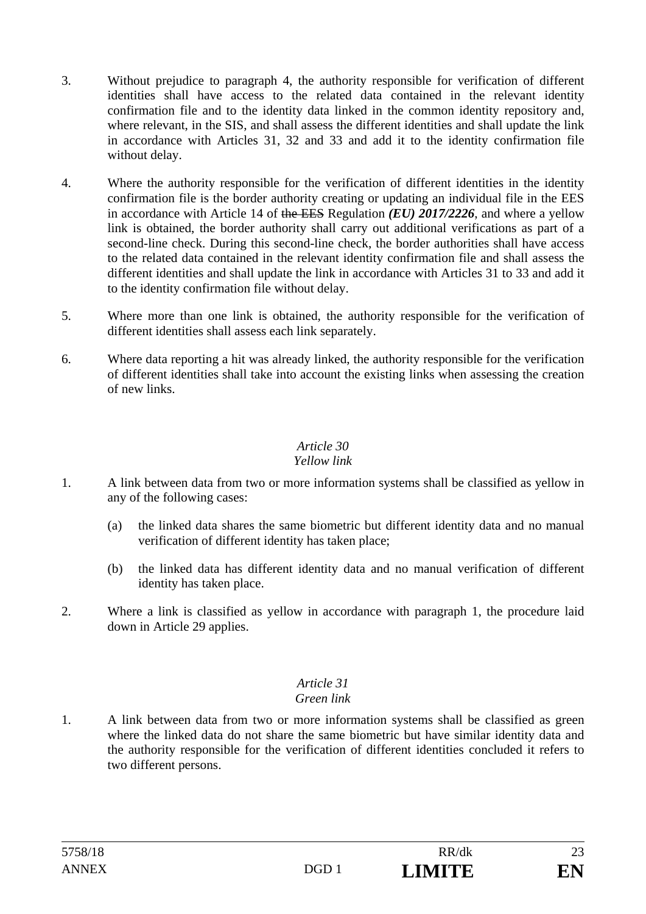- 3. Without prejudice to paragraph 4, the authority responsible for verification of different identities shall have access to the related data contained in the relevant identity confirmation file and to the identity data linked in the common identity repository and, where relevant, in the SIS, and shall assess the different identities and shall update the link in accordance with Articles 31, 32 and 33 and add it to the identity confirmation file without delay.
- 4. Where the authority responsible for the verification of different identities in the identity confirmation file is the border authority creating or updating an individual file in the EES in accordance with Article 14 of the EES Regulation *(EU) 2017/2226*, and where a yellow link is obtained, the border authority shall carry out additional verifications as part of a second-line check. During this second-line check, the border authorities shall have access to the related data contained in the relevant identity confirmation file and shall assess the different identities and shall update the link in accordance with Articles 31 to 33 and add it to the identity confirmation file without delay.
- 5. Where more than one link is obtained, the authority responsible for the verification of different identities shall assess each link separately.
- 6. Where data reporting a hit was already linked, the authority responsible for the verification of different identities shall take into account the existing links when assessing the creation of new links.

# *Yellow link*

- 1. A link between data from two or more information systems shall be classified as yellow in any of the following cases:
	- (a) the linked data shares the same biometric but different identity data and no manual verification of different identity has taken place;
	- (b) the linked data has different identity data and no manual verification of different identity has taken place.
- 2. Where a link is classified as yellow in accordance with paragraph 1, the procedure laid down in Article 29 applies.

# *Article 31*

# *Green link*

1. A link between data from two or more information systems shall be classified as green where the linked data do not share the same biometric but have similar identity data and the authority responsible for the verification of different identities concluded it refers to two different persons.